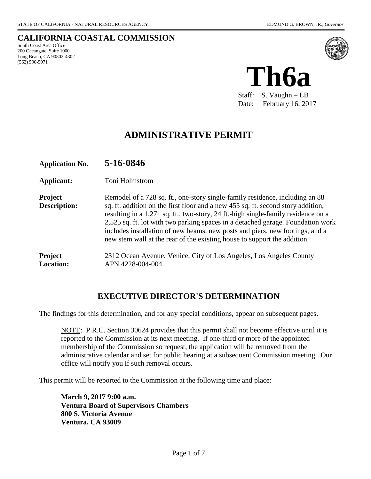**CALIFORNIA COASTAL COMMISSION** South Coast Area Office 200 Oceangate, Suite 1000 Long Beach, CA 90802-4302 (562) 590-5071



Staff: S. Vaughn – LB Date: February 16, 2017

# **ADMINISTRATIVE PERMIT**

| <b>Application No.</b>                | 5-16-0846                                                                                                                                                                                                                                                                                                                                                                                                                                                                                            |
|---------------------------------------|------------------------------------------------------------------------------------------------------------------------------------------------------------------------------------------------------------------------------------------------------------------------------------------------------------------------------------------------------------------------------------------------------------------------------------------------------------------------------------------------------|
| Applicant:                            | Toni Holmstrom                                                                                                                                                                                                                                                                                                                                                                                                                                                                                       |
| <b>Project</b><br><b>Description:</b> | Remodel of a 728 sq. ft., one-story single-family residence, including an 88<br>sq. ft. addition on the first floor and a new 455 sq. ft. second story addition,<br>resulting in a 1,271 sq. ft., two-story, 24 ft.-high single-family residence on a<br>2,525 sq. ft. lot with two parking spaces in a detached garage. Foundation work<br>includes installation of new beams, new posts and piers, new footings, and a<br>new stem wall at the rear of the existing house to support the addition. |
| <b>Project</b><br><b>Location:</b>    | 2312 Ocean Avenue, Venice, City of Los Angeles, Los Angeles County<br>APN 4228-004-004.                                                                                                                                                                                                                                                                                                                                                                                                              |

## **EXECUTIVE DIRECTOR'S DETERMINATION**

The findings for this determination, and for any special conditions, appear on subsequent pages.

NOTE: P.R.C. Section 30624 provides that this permit shall not become effective until it is reported to the Commission at its next meeting. If one-third or more of the appointed membership of the Commission so request, the application will be removed from the administrative calendar and set for public hearing at a subsequent Commission meeting. Our office will notify you if such removal occurs.

This permit will be reported to the Commission at the following time and place:

**March 9, 2017 9:00 a.m. Ventura Board of Supervisors Chambers 800 S. Victoria Avenue Ventura, CA 93009**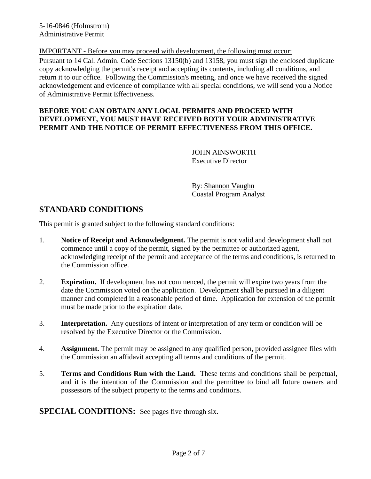5-16-0846 (Holmstrom) Administrative Permit

IMPORTANT - Before you may proceed with development, the following must occur: Pursuant to 14 Cal. Admin. Code Sections 13150(b) and 13158, you must sign the enclosed duplicate copy acknowledging the permit's receipt and accepting its contents, including all conditions, and return it to our office. Following the Commission's meeting, and once we have received the signed acknowledgement and evidence of compliance with all special conditions, we will send you a Notice of Administrative Permit Effectiveness.

#### **BEFORE YOU CAN OBTAIN ANY LOCAL PERMITS AND PROCEED WITH DEVELOPMENT, YOU MUST HAVE RECEIVED BOTH YOUR ADMINISTRATIVE PERMIT AND THE NOTICE OF PERMIT EFFECTIVENESS FROM THIS OFFICE.**

 JOHN AINSWORTH Executive Director

By: Shannon Vaughn Coastal Program Analyst

# **STANDARD CONDITIONS**

This permit is granted subject to the following standard conditions:

- 1. **Notice of Receipt and Acknowledgment.** The permit is not valid and development shall not commence until a copy of the permit, signed by the permittee or authorized agent, acknowledging receipt of the permit and acceptance of the terms and conditions, is returned to the Commission office.
- 2. **Expiration.** If development has not commenced, the permit will expire two years from the date the Commission voted on the application. Development shall be pursued in a diligent manner and completed in a reasonable period of time. Application for extension of the permit must be made prior to the expiration date.
- 3. **Interpretation.** Any questions of intent or interpretation of any term or condition will be resolved by the Executive Director or the Commission.
- 4. **Assignment.** The permit may be assigned to any qualified person, provided assignee files with the Commission an affidavit accepting all terms and conditions of the permit.
- 5. **Terms and Conditions Run with the Land.** These terms and conditions shall be perpetual, and it is the intention of the Commission and the permittee to bind all future owners and possessors of the subject property to the terms and conditions.

**SPECIAL CONDITIONS:** See pages five through six.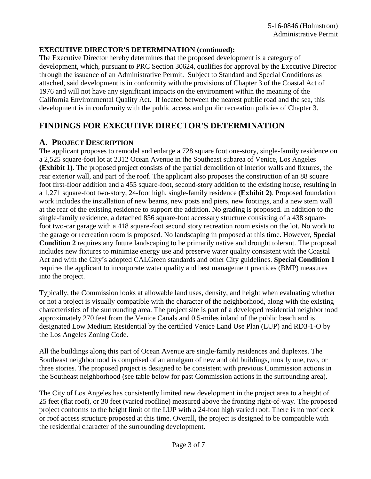#### **EXECUTIVE DIRECTOR'S DETERMINATION (continued):**

The Executive Director hereby determines that the proposed development is a category of development, which, pursuant to PRC Section 30624, qualifies for approval by the Executive Director through the issuance of an Administrative Permit. Subject to Standard and Special Conditions as attached, said development is in conformity with the provisions of Chapter 3 of the Coastal Act of 1976 and will not have any significant impacts on the environment within the meaning of the California Environmental Quality Act. If located between the nearest public road and the sea, this development is in conformity with the public access and public recreation policies of Chapter 3.

# **FINDINGS FOR EXECUTIVE DIRECTOR'S DETERMINATION**

### **A. PROJECT DESCRIPTION**

The applicant proposes to remodel and enlarge a 728 square foot one-story, single-family residence on a 2,525 square-foot lot at 2312 Ocean Avenue in the Southeast subarea of Venice, Los Angeles **(Exhibit 1)**. The proposed project consists of the partial demolition of interior walls and fixtures, the rear exterior wall, and part of the roof. The applicant also proposes the construction of an 88 square foot first-floor addition and a 455 square-foot, second-story addition to the existing house, resulting in a 1,271 square-foot two-story, 24-foot high, single-family residence **(Exhibit 2)**. Proposed foundation work includes the installation of new beams, new posts and piers, new footings, and a new stem wall at the rear of the existing residence to support the addition. No grading is proposed. In addition to the single-family residence, a detached 856 square-foot accessary structure consisting of a 438 squarefoot two-car garage with a 418 square-foot second story recreation room exists on the lot. No work to the garage or recreation room is proposed. No landscaping in proposed at this time. However, **Special Condition 2** requires any future landscaping to be primarily native and drought tolerant. The proposal includes new fixtures to minimize energy use and preserve water quality consistent with the Coastal Act and with the City's adopted CALGreen standards and other City guidelines. **Special Condition 1**  requires the applicant to incorporate water quality and best management practices (BMP) measures into the project.

Typically, the Commission looks at allowable land uses, density, and height when evaluating whether or not a project is visually compatible with the character of the neighborhood, along with the existing characteristics of the surrounding area. The project site is part of a developed residential neighborhood approximately 270 feet from the Venice Canals and 0.5-miles inland of the public beach and is designated Low Medium Residential by the certified Venice Land Use Plan (LUP) and RD3-1-O by the Los Angeles Zoning Code.

All the buildings along this part of Ocean Avenue are single-family residences and duplexes. The Southeast neighborhood is comprised of an amalgam of new and old buildings, mostly one, two, or three stories. The proposed project is designed to be consistent with previous Commission actions in the Southeast neighborhood (see table below for past Commission actions in the surrounding area).

The City of Los Angeles has consistently limited new development in the project area to a height of 25 feet (flat roof), or 30 feet (varied roofline) measured above the fronting right-of-way. The proposed project conforms to the height limit of the LUP with a 24-foot high varied roof. There is no roof deck or roof access structure proposed at this time. Overall, the project is designed to be compatible with the residential character of the surrounding development.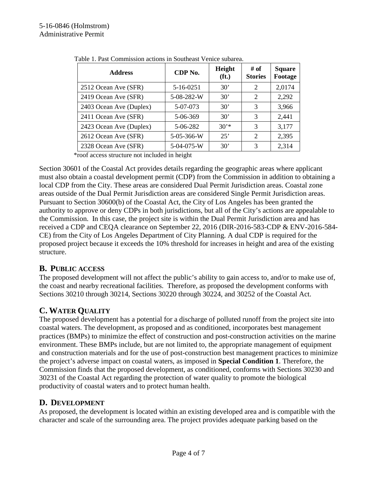| <b>Address</b>          | CDP No.    | Height<br>(f <sub>t</sub> ) | # of<br><b>Stories</b> | <b>Square</b><br>Footage |
|-------------------------|------------|-----------------------------|------------------------|--------------------------|
| 2512 Ocean Ave (SFR)    | 5-16-0251  | 30'                         | 2                      | 2,0174                   |
| 2419 Ocean Ave (SFR)    | 5-08-282-W | $30^{\circ}$                | 2                      | 2,292                    |
| 2403 Ocean Ave (Duplex) | 5-07-073   | $30^{\circ}$                | 3                      | 3,966                    |
| 2411 Ocean Ave (SFR)    | 5-06-369   | $30^{\circ}$                | 3                      | 2,441                    |
| 2423 Ocean Ave (Duplex) | 5-06-282   | $30*$                       | 3                      | 3,177                    |
| 2612 Ocean Ave (SFR)    | 5-05-366-W | 25'                         | 2                      | 2,395                    |
| 2328 Ocean Ave (SFR)    | 5-04-075-W | 30'                         | 3                      | 2,314                    |

|  |  |  |  |  |  | Table 1. Past Commission actions in Southeast Venice subarea. |
|--|--|--|--|--|--|---------------------------------------------------------------|
|--|--|--|--|--|--|---------------------------------------------------------------|

\*roof access structure not included in height

Section 30601 of the Coastal Act provides details regarding the geographic areas where applicant must also obtain a coastal development permit (CDP) from the Commission in addition to obtaining a local CDP from the City. These areas are considered Dual Permit Jurisdiction areas. Coastal zone areas outside of the Dual Permit Jurisdiction areas are considered Single Permit Jurisdiction areas. Pursuant to Section 30600(b) of the Coastal Act, the City of Los Angeles has been granted the authority to approve or deny CDPs in both jurisdictions, but all of the City's actions are appealable to the Commission. In this case, the project site is within the Dual Permit Jurisdiction area and has received a CDP and CEQA clearance on September 22, 2016 (DIR-2016-583-CDP & ENV-2016-584- CE) from the City of Los Angeles Department of City Planning. A dual CDP is required for the proposed project because it exceeds the 10% threshold for increases in height and area of the existing structure.

### **B. PUBLIC ACCESS**

The proposed development will not affect the public's ability to gain access to, and/or to make use of, the coast and nearby recreational facilities. Therefore, as proposed the development conforms with Sections 30210 through 30214, Sections 30220 through 30224, and 30252 of the Coastal Act.

### **C. WATER QUALITY**

The proposed development has a potential for a discharge of polluted runoff from the project site into coastal waters. The development, as proposed and as conditioned, incorporates best management practices (BMPs) to minimize the effect of construction and post-construction activities on the marine environment. These BMPs include, but are not limited to, the appropriate management of equipment and construction materials and for the use of post-construction best management practices to minimize the project's adverse impact on coastal waters, as imposed in **Special Condition 1**. Therefore, the Commission finds that the proposed development, as conditioned, conforms with Sections 30230 and 30231 of the Coastal Act regarding the protection of water quality to promote the biological productivity of coastal waters and to protect human health.

### **D. DEVELOPMENT**

As proposed, the development is located within an existing developed area and is compatible with the character and scale of the surrounding area. The project provides adequate parking based on the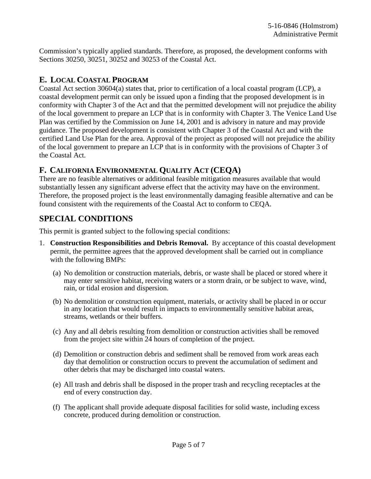Commission's typically applied standards. Therefore, as proposed, the development conforms with Sections 30250, 30251, 30252 and 30253 of the Coastal Act.

## **E. LOCAL COASTAL PROGRAM**

Coastal Act section 30604(a) states that, prior to certification of a local coastal program (LCP), a coastal development permit can only be issued upon a finding that the proposed development is in conformity with Chapter 3 of the Act and that the permitted development will not prejudice the ability of the local government to prepare an LCP that is in conformity with Chapter 3. The Venice Land Use Plan was certified by the Commission on June 14, 2001 and is advisory in nature and may provide guidance. The proposed development is consistent with Chapter 3 of the Coastal Act and with the certified Land Use Plan for the area. Approval of the project as proposed will not prejudice the ability of the local government to prepare an LCP that is in conformity with the provisions of Chapter 3 of the Coastal Act.

## **F. CALIFORNIA ENVIRONMENTAL QUALITY ACT (CEQA)**

There are no feasible alternatives or additional feasible mitigation measures available that would substantially lessen any significant adverse effect that the activity may have on the environment. Therefore, the proposed project is the least environmentally damaging feasible alternative and can be found consistent with the requirements of the Coastal Act to conform to CEQA.

# **SPECIAL CONDITIONS**

This permit is granted subject to the following special conditions:

- 1. **Construction Responsibilities and Debris Removal.** By acceptance of this coastal development permit, the permittee agrees that the approved development shall be carried out in compliance with the following BMPs:
	- (a) No demolition or construction materials, debris, or waste shall be placed or stored where it may enter sensitive habitat, receiving waters or a storm drain, or be subject to wave, wind, rain, or tidal erosion and dispersion.
	- (b) No demolition or construction equipment, materials, or activity shall be placed in or occur in any location that would result in impacts to environmentally sensitive habitat areas, streams, wetlands or their buffers.
	- (c) Any and all debris resulting from demolition or construction activities shall be removed from the project site within 24 hours of completion of the project.
	- (d) Demolition or construction debris and sediment shall be removed from work areas each day that demolition or construction occurs to prevent the accumulation of sediment and other debris that may be discharged into coastal waters.
	- (e) All trash and debris shall be disposed in the proper trash and recycling receptacles at the end of every construction day.
	- (f) The applicant shall provide adequate disposal facilities for solid waste, including excess concrete, produced during demolition or construction.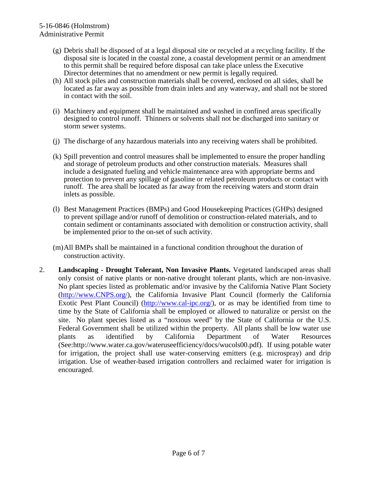- (g) Debris shall be disposed of at a legal disposal site or recycled at a recycling facility. If the disposal site is located in the coastal zone, a coastal development permit or an amendment to this permit shall be required before disposal can take place unless the Executive Director determines that no amendment or new permit is legally required.
- (h) All stock piles and construction materials shall be covered, enclosed on all sides, shall be located as far away as possible from drain inlets and any waterway, and shall not be stored in contact with the soil.
- (i) Machinery and equipment shall be maintained and washed in confined areas specifically designed to control runoff. Thinners or solvents shall not be discharged into sanitary or storm sewer systems.
- (j) The discharge of any hazardous materials into any receiving waters shall be prohibited.
- (k) Spill prevention and control measures shall be implemented to ensure the proper handling and storage of petroleum products and other construction materials. Measures shall include a designated fueling and vehicle maintenance area with appropriate berms and protection to prevent any spillage of gasoline or related petroleum products or contact with runoff. The area shall be located as far away from the receiving waters and storm drain inlets as possible.
- (l) Best Management Practices (BMPs) and Good Housekeeping Practices (GHPs) designed to prevent spillage and/or runoff of demolition or construction-related materials, and to contain sediment or contaminants associated with demolition or construction activity, shall be implemented prior to the on-set of such activity.
- (m)All BMPs shall be maintained in a functional condition throughout the duration of construction activity.
- 2. **Landscaping Drought Tolerant, Non Invasive Plants.** Vegetated landscaped areas shall only consist of native plants or non-native drought tolerant plants, which are non-invasive. No plant species listed as problematic and/or invasive by the California Native Plant Society [\(http://www.CNPS.org/\)](http://www.cnps.org/), the California Invasive Plant Council (formerly the California Exotic Pest Plant Council) [\(http://www.cal-ipc.org/\)](http://www.cal-ipc.org/), or as may be identified from time to time by the State of California shall be employed or allowed to naturalize or persist on the site. No plant species listed as a "noxious weed" by the State of California or the U.S. Federal Government shall be utilized within the property. All plants shall be low water use plants as identified by California Department of Water Resources (See:http://www.water.ca.gov/wateruseefficiency/docs/wucols00.pdf). If using potable water for irrigation, the project shall use water-conserving emitters (e.g. microspray) and drip irrigation. Use of weather-based irrigation controllers and reclaimed water for irrigation is encouraged.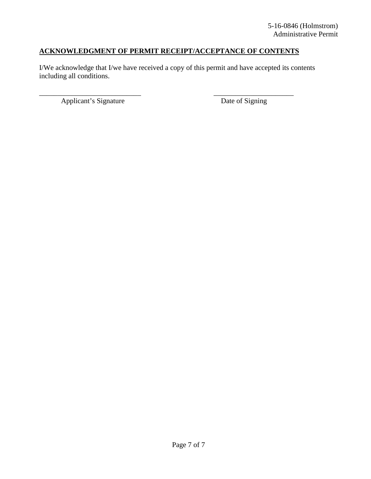## **ACKNOWLEDGMENT OF PERMIT RECEIPT/ACCEPTANCE OF CONTENTS**

\_\_\_\_\_\_\_\_\_\_\_\_\_\_\_\_\_\_\_\_\_\_\_\_\_\_\_\_ \_\_\_\_\_\_\_\_\_\_\_\_\_\_\_\_\_\_\_\_\_\_

I/We acknowledge that I/we have received a copy of this permit and have accepted its contents including all conditions.

Applicant's Signature Date of Signing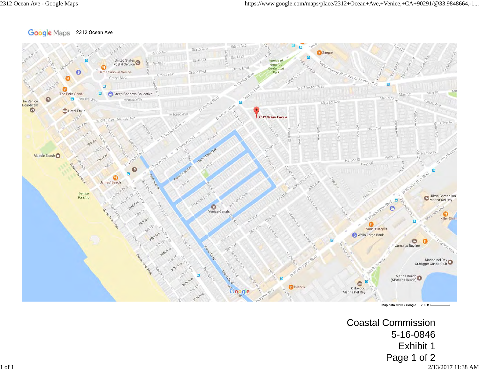#### Google Maps 2312 Ocean Ave



Map data @2017 Google 200 ft I

Coastal Commission 5-16-0846 Exhibit 1 Page 1 of 2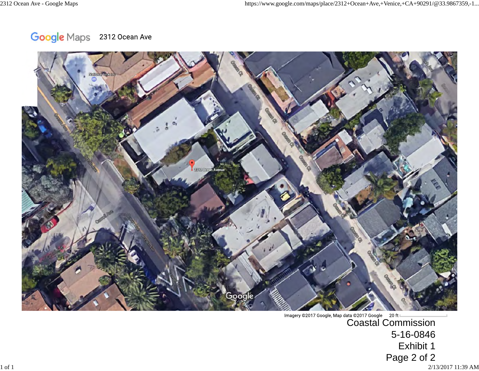Google Maps 2312 Ocean Ave



Imagery @2017 Google, Map data @2017 Google 20 ft Letter 2017 Google 20 ft Letter 2017 Google 30 ft Letter 30 5-16-0846 Exhibit 1 Page 2 of 2

 $^{2/13/2017}$  11:39 AM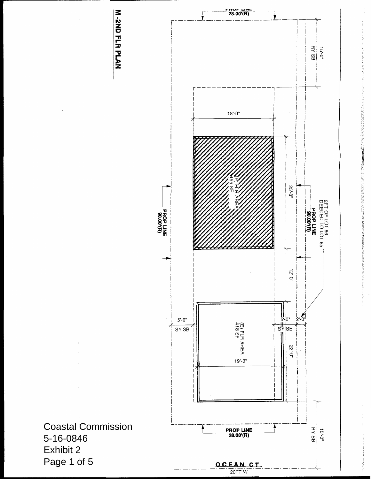

1920年12月12日, 1920年12月1日, 1920年12月1日, 1920年12月1日, 1920年12月, 1920年12月, 1920年12月, 1920年12月, 1920年12月, 1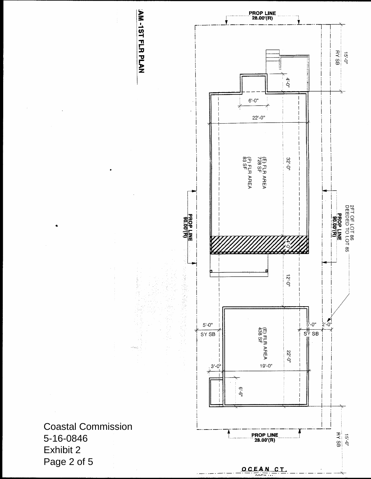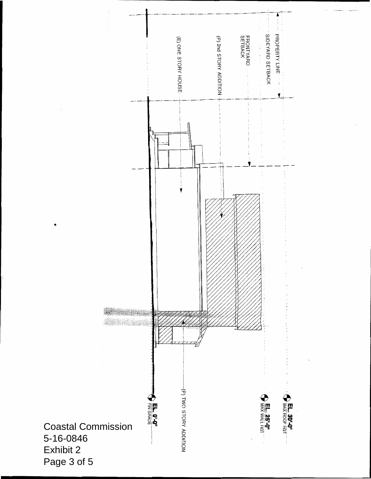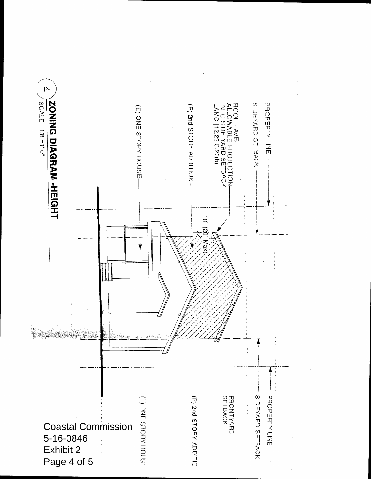